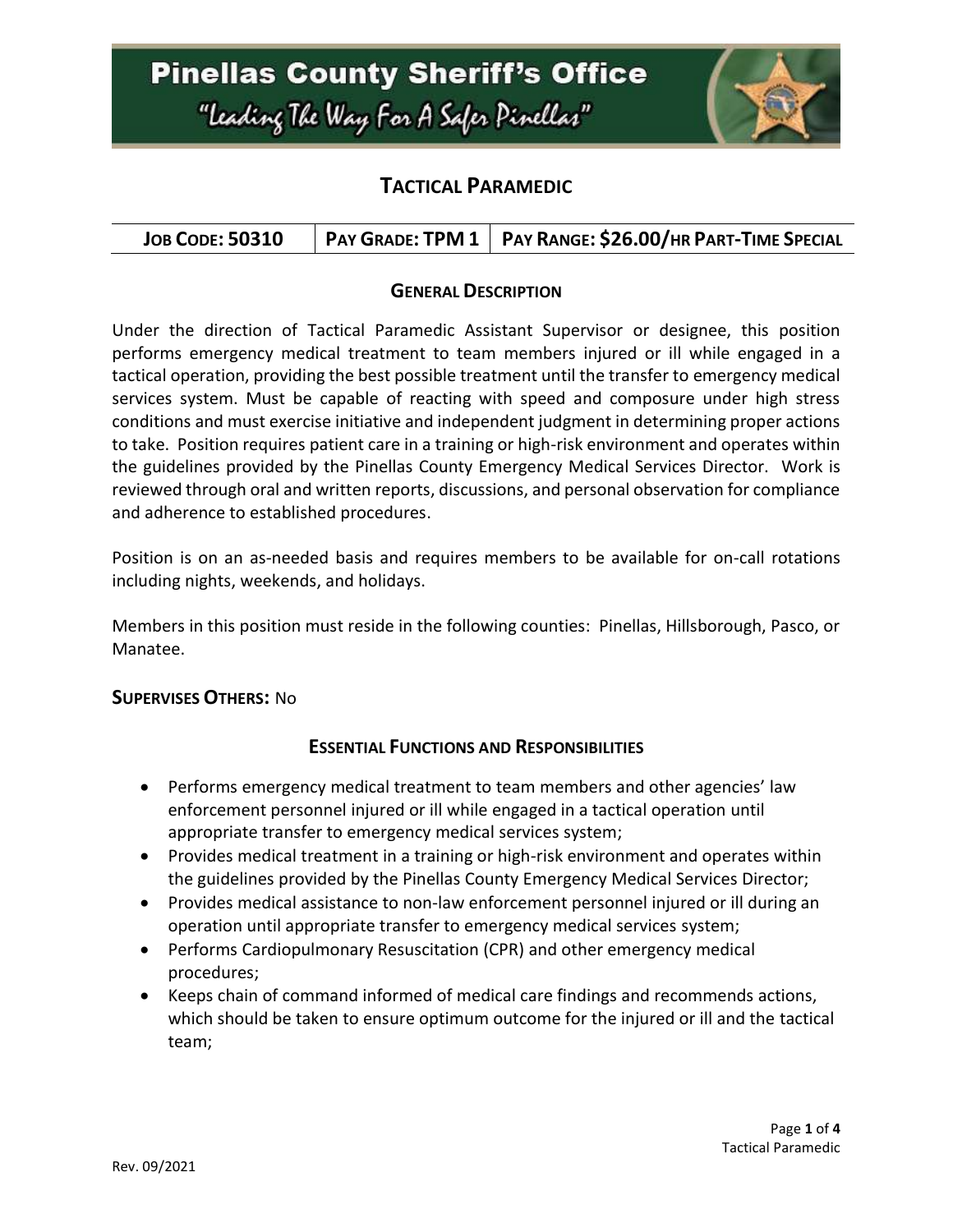

## **TACTICAL PARAMEDIC**

|  |  | JOB CODE: 50310   PAY GRADE: TPM 1   PAY RANGE: $$26.00$ /HR PART-TIME SPECIAL |
|--|--|--------------------------------------------------------------------------------|
|--|--|--------------------------------------------------------------------------------|

### **GENERAL DESCRIPTION**

Under the direction of Tactical Paramedic Assistant Supervisor or designee, this position performs emergency medical treatment to team members injured or ill while engaged in a tactical operation, providing the best possible treatment until the transfer to emergency medical services system. Must be capable of reacting with speed and composure under high stress conditions and must exercise initiative and independent judgment in determining proper actions to take. Position requires patient care in a training or high-risk environment and operates within the guidelines provided by the Pinellas County Emergency Medical Services Director. Work is reviewed through oral and written reports, discussions, and personal observation for compliance and adherence to established procedures.

Position is on an as-needed basis and requires members to be available for on-call rotations including nights, weekends, and holidays.

Members in this position must reside in the following counties: Pinellas, Hillsborough, Pasco, or Manatee.

#### **SUPERVISES OTHERS:** No

#### **ESSENTIAL FUNCTIONS AND RESPONSIBILITIES**

- Performs emergency medical treatment to team members and other agencies' law enforcement personnel injured or ill while engaged in a tactical operation until appropriate transfer to emergency medical services system;
- Provides medical treatment in a training or high-risk environment and operates within the guidelines provided by the Pinellas County Emergency Medical Services Director;
- Provides medical assistance to non-law enforcement personnel injured or ill during an operation until appropriate transfer to emergency medical services system;
- Performs Cardiopulmonary Resuscitation (CPR) and other emergency medical procedures;
- Keeps chain of command informed of medical care findings and recommends actions, which should be taken to ensure optimum outcome for the injured or ill and the tactical team;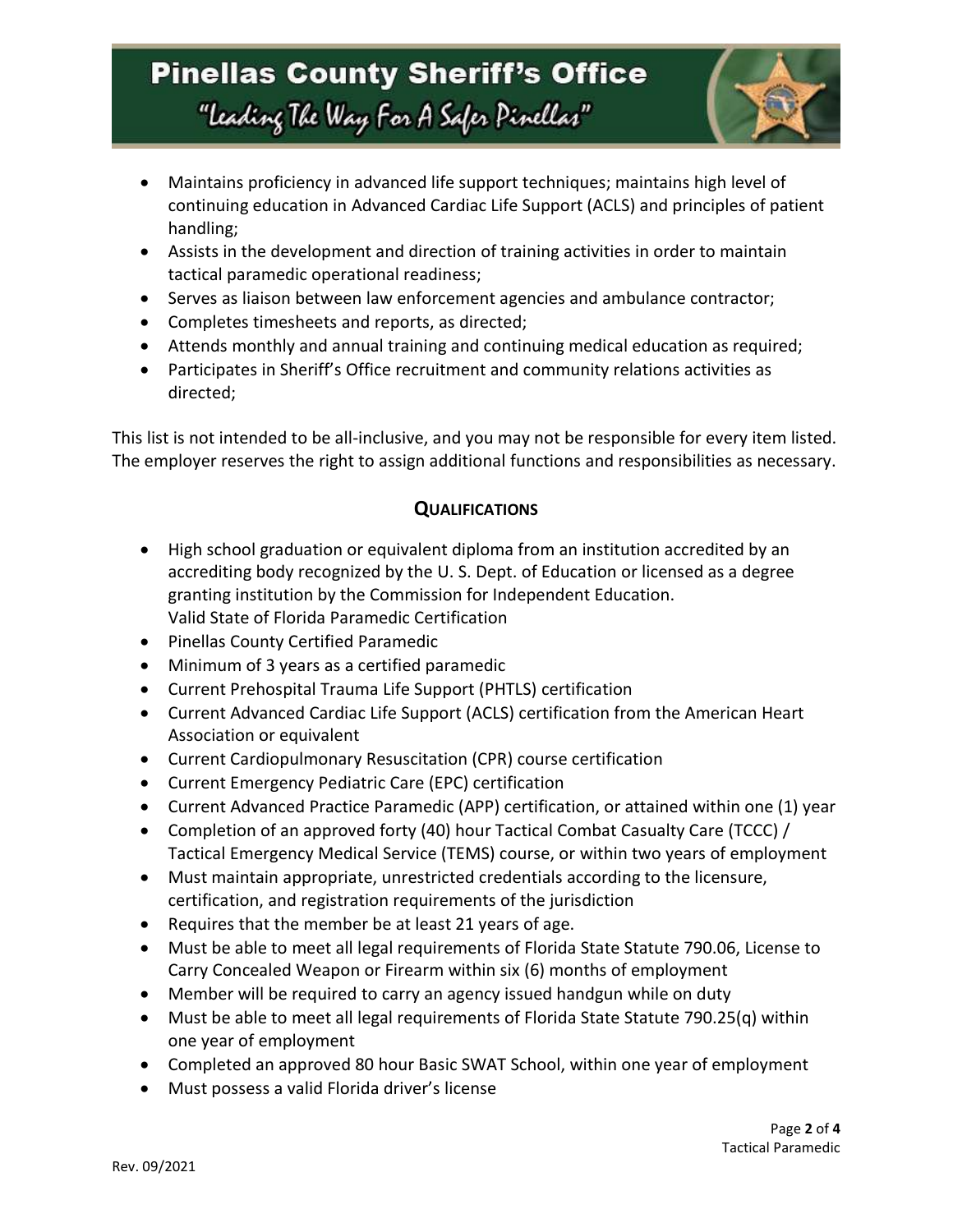

- Maintains proficiency in advanced life support techniques; maintains high level of continuing education in Advanced Cardiac Life Support (ACLS) and principles of patient handling;
- Assists in the development and direction of training activities in order to maintain tactical paramedic operational readiness;
- Serves as liaison between law enforcement agencies and ambulance contractor;
- Completes timesheets and reports, as directed;
- Attends monthly and annual training and continuing medical education as required;
- Participates in Sheriff's Office recruitment and community relations activities as directed;

This list is not intended to be all-inclusive, and you may not be responsible for every item listed. The employer reserves the right to assign additional functions and responsibilities as necessary.

### **QUALIFICATIONS**

- High school graduation or equivalent diploma from an institution accredited by an accrediting body recognized by the U. S. Dept. of Education or licensed as a degree granting institution by the Commission for Independent Education. Valid State of Florida Paramedic Certification
- Pinellas County Certified Paramedic
- Minimum of 3 years as a certified paramedic
- Current Prehospital Trauma Life Support (PHTLS) certification
- Current Advanced Cardiac Life Support (ACLS) certification from the American Heart Association or equivalent
- Current Cardiopulmonary Resuscitation (CPR) course certification
- Current Emergency Pediatric Care (EPC) certification
- Current Advanced Practice Paramedic (APP) certification, or attained within one (1) year
- Completion of an approved forty (40) hour Tactical Combat Casualty Care (TCCC) / Tactical Emergency Medical Service (TEMS) course, or within two years of employment
- Must maintain appropriate, unrestricted credentials according to the licensure, certification, and registration requirements of the jurisdiction
- Requires that the member be at least 21 years of age.
- Must be able to meet all legal requirements of Florida State Statute 790.06, License to Carry Concealed Weapon or Firearm within six (6) months of employment
- Member will be required to carry an agency issued handgun while on duty
- Must be able to meet all legal requirements of Florida State Statute 790.25(q) within one year of employment
- Completed an approved 80 hour Basic SWAT School, within one year of employment
- Must possess a valid Florida driver's license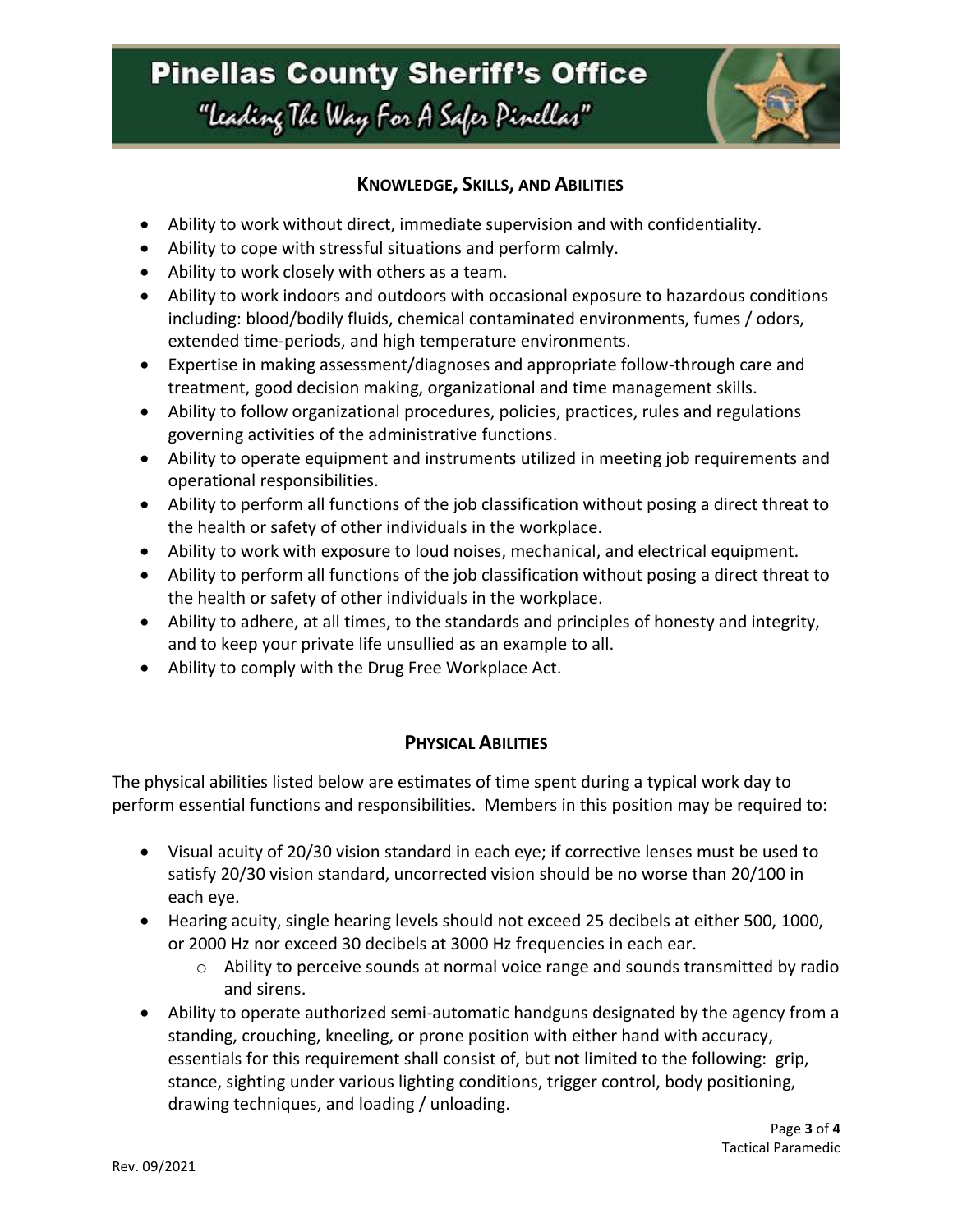

### **KNOWLEDGE, SKILLS, AND ABILITIES**

- Ability to work without direct, immediate supervision and with confidentiality.
- Ability to cope with stressful situations and perform calmly.
- Ability to work closely with others as a team.
- Ability to work indoors and outdoors with occasional exposure to hazardous conditions including: blood/bodily fluids, chemical contaminated environments, fumes / odors, extended time-periods, and high temperature environments.
- Expertise in making assessment/diagnoses and appropriate follow-through care and treatment, good decision making, organizational and time management skills.
- Ability to follow organizational procedures, policies, practices, rules and regulations governing activities of the administrative functions.
- Ability to operate equipment and instruments utilized in meeting job requirements and operational responsibilities.
- Ability to perform all functions of the job classification without posing a direct threat to the health or safety of other individuals in the workplace.
- Ability to work with exposure to loud noises, mechanical, and electrical equipment.
- Ability to perform all functions of the job classification without posing a direct threat to the health or safety of other individuals in the workplace.
- Ability to adhere, at all times, to the standards and principles of honesty and integrity, and to keep your private life unsullied as an example to all.
- Ability to comply with the Drug Free Workplace Act.

### **PHYSICAL ABILITIES**

The physical abilities listed below are estimates of time spent during a typical work day to perform essential functions and responsibilities. Members in this position may be required to:

- Visual acuity of 20/30 vision standard in each eye; if corrective lenses must be used to satisfy 20/30 vision standard, uncorrected vision should be no worse than 20/100 in each eye.
- Hearing acuity, single hearing levels should not exceed 25 decibels at either 500, 1000, or 2000 Hz nor exceed 30 decibels at 3000 Hz frequencies in each ear.
	- o Ability to perceive sounds at normal voice range and sounds transmitted by radio and sirens.
- Ability to operate authorized semi-automatic handguns designated by the agency from a standing, crouching, kneeling, or prone position with either hand with accuracy, essentials for this requirement shall consist of, but not limited to the following: grip, stance, sighting under various lighting conditions, trigger control, body positioning, drawing techniques, and loading / unloading.